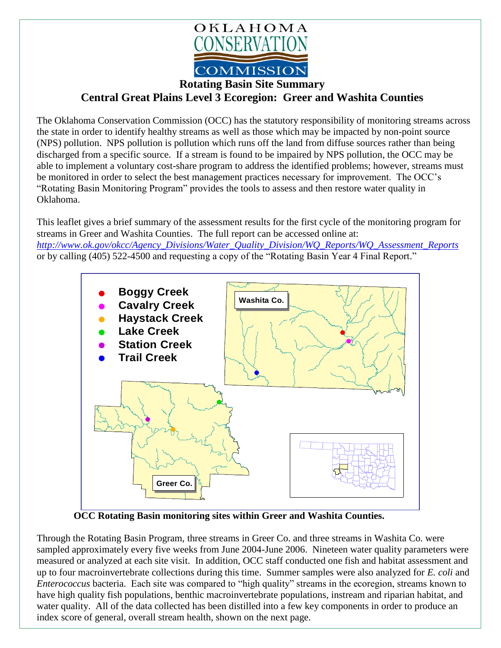

**Rotating Basin Site Summary**

**Central Great Plains Level 3 Ecoregion: Greer and Washita Counties**

The Oklahoma Conservation Commission (OCC) has the statutory responsibility of monitoring streams across the state in order to identify healthy streams as well as those which may be impacted by non-point source (NPS) pollution. NPS pollution is pollution which runs off the land from diffuse sources rather than being discharged from a specific source. If a stream is found to be impaired by NPS pollution, the OCC may be able to implement a voluntary cost-share program to address the identified problems; however, streams must be monitored in order to select the best management practices necessary for improvement. The OCC's "Rotating Basin Monitoring Program" provides the tools to assess and then restore water quality in Oklahoma.

This leaflet gives a brief summary of the assessment results for the first cycle of the monitoring program for streams in Greer and Washita Counties. The full report can be accessed online at: *[http://www.ok.gov/okcc/Agency\\_Divisions/Water\\_Quality\\_Division/WQ\\_Reports/WQ\\_Assessment\\_Reports](http://www.ok.gov/okcc/Agency_Divisions/Water_Quality_Division/WQ_Reports/WQ_Assessment_Reports)* or by calling (405) 522-4500 and requesting a copy of the "Rotating Basin Year 4 Final Report."



**OCC Rotating Basin monitoring sites within Greer and Washita Counties.**

Through the Rotating Basin Program, three streams in Greer Co. and three streams in Washita Co. were sampled approximately every five weeks from June 2004-June 2006. Nineteen water quality parameters were measured or analyzed at each site visit. In addition, OCC staff conducted one fish and habitat assessment and up to four macroinvertebrate collections during this time. Summer samples were also analyzed for *E. coli* and *Enterococcus* bacteria. Each site was compared to "high quality" streams in the ecoregion, streams known to have high quality fish populations, benthic macroinvertebrate populations, instream and riparian habitat, and water quality. All of the data collected has been distilled into a few key components in order to produce an index score of general, overall stream health, shown on the next page.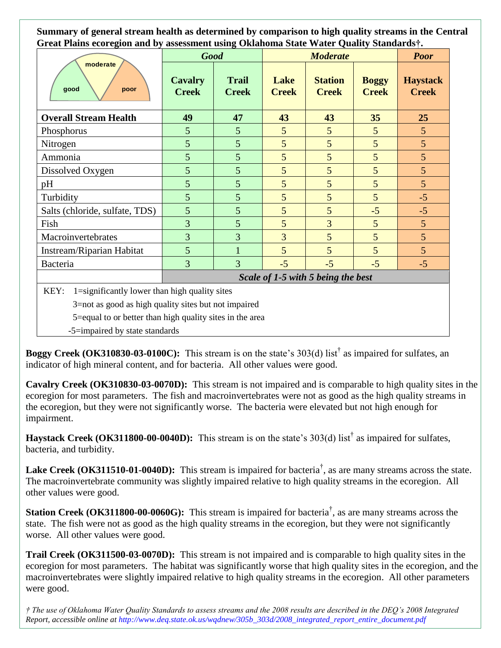**Summary of general stream health as determined by comparison to high quality streams in the Central Great Plains ecoregion and by assessment using Oklahoma State Water Quality Standards†.**

| moderate<br>good<br>poor                                 | o<br><b>Good</b>                   |                              | <b>Moderate</b>      |                                |                              | <b>Poor</b>                     |
|----------------------------------------------------------|------------------------------------|------------------------------|----------------------|--------------------------------|------------------------------|---------------------------------|
|                                                          | <b>Cavalry</b><br><b>Creek</b>     | <b>Trail</b><br><b>Creek</b> | Lake<br><b>Creek</b> | <b>Station</b><br><b>Creek</b> | <b>Boggy</b><br><b>Creek</b> | <b>Haystack</b><br><b>Creek</b> |
| <b>Overall Stream Health</b>                             | 49                                 | 47                           | 43                   | 43                             | 35                           | 25                              |
| Phosphorus                                               | 5                                  | 5                            | 5                    | 5                              | 5                            | 5                               |
| Nitrogen                                                 | 5                                  | 5                            | 5                    | 5                              | 5                            | 5                               |
| Ammonia                                                  | 5                                  | 5                            | 5                    | 5                              | 5                            | $\overline{5}$                  |
| Dissolved Oxygen                                         | 5                                  | 5                            | 5                    | 5                              | 5                            | 5                               |
| pH                                                       | 5                                  | 5                            | 5                    | 5                              | 5                            | 5                               |
| Turbidity                                                | 5                                  | 5                            | 5                    | 5                              | 5                            | $-5$                            |
| Salts (chloride, sulfate, TDS)                           | 5                                  | 5                            | 5                    | 5                              | $-5$                         | $-5$                            |
| Fish                                                     | 3                                  | 5                            | 5                    | $\overline{3}$                 | 5                            | 5                               |
| Macroinvertebrates                                       | 3                                  | $\overline{3}$               | $\overline{3}$       | 5                              | 5                            | 5                               |
| Instream/Riparian Habitat                                | 5                                  | 1                            | 5                    | 5                              | 5                            | $\overline{5}$                  |
| Bacteria                                                 | 3                                  | $\overline{3}$               | $-5$                 | $-5$                           | $-5$                         | $-5$                            |
|                                                          | Scale of 1-5 with 5 being the best |                              |                      |                                |                              |                                 |
| KEY:<br>1=significantly lower than high quality sites    |                                    |                              |                      |                                |                              |                                 |
| 3=not as good as high quality sites but not impaired     |                                    |                              |                      |                                |                              |                                 |
| 5=equal to or better than high quality sites in the area |                                    |                              |                      |                                |                              |                                 |
| -5=impaired by state standards                           |                                    |                              |                      |                                |                              |                                 |

**Boggy Creek (OK310830-03-0100C):** This stream is on the state's 303(d) list† as impaired for sulfates, an indicator of high mineral content, and for bacteria. All other values were good.

**Cavalry Creek (OK310830-03-0070D):** This stream is not impaired and is comparable to high quality sites in the ecoregion for most parameters. The fish and macroinvertebrates were not as good as the high quality streams in the ecoregion, but they were not significantly worse. The bacteria were elevated but not high enough for impairment.

**Haystack Creek (OK311800-00-0040D):** This stream is on the state's 303(d) list† as impaired for sulfates, bacteria, and turbidity.

Lake Creek (OK311510-01-0040D): This stream is impaired for bacteria<sup>†</sup>, as are many streams across the state. The macroinvertebrate community was slightly impaired relative to high quality streams in the ecoregion. All other values were good.

**Station Creek** (OK311800-00-0060G): This stream is impaired for bacteria<sup>†</sup>, as are many streams across the state. The fish were not as good as the high quality streams in the ecoregion, but they were not significantly worse. All other values were good.

**Trail Creek (OK311500-03-0070D):** This stream is not impaired and is comparable to high quality sites in the ecoregion for most parameters. The habitat was significantly worse that high quality sites in the ecoregion, and the macroinvertebrates were slightly impaired relative to high quality streams in the ecoregion. All other parameters were good.

*† The use of Oklahoma Water Quality Standards to assess streams and the 2008 results are described in the DEQ's 2008 Integrated Report, accessible online at http://www.deq.state.ok.us/wqdnew/305b\_303d/2008\_integrated\_report\_entire\_document.pdf*